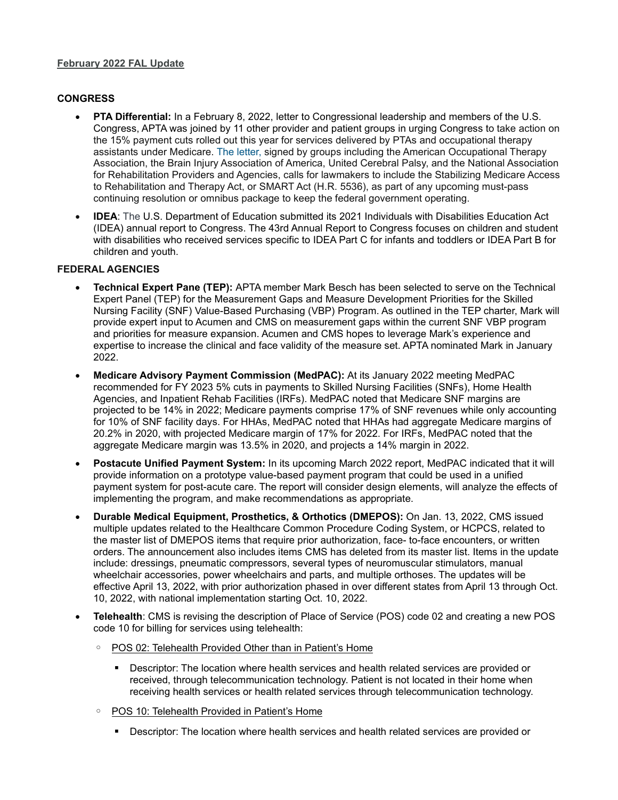## **February 2022 FAL Update**

## **CONGRESS**

- **PTA Differential:** In a February 8, 2022, letter to Congressional leadership and members of the U.S. Congress, APTA was joined by 11 other provider and patient groups in urging Congress to take action on the 15% payment cuts rolled out this year for services delivered by PTAs and occupational therapy assistants under Medicare. The letter, signed by groups including the American Occupational Therapy Association, the Brain Injury Association of America, United Cerebral Palsy, and the National Association for Rehabilitation Providers and Agencies, calls for lawmakers to include the Stabilizing Medicare Access to Rehabilitation and Therapy Act, or SMART Act (H.R. 5536), as part of any upcoming must-pass continuing resolution or omnibus package to keep the federal government operating.
- **IDEA**: The U.S. Department of Education submitted its 2021 Individuals with Disabilities Education Act (IDEA) annual report to Congress. The 43rd Annual Report to Congress focuses on children and student with disabilities who received services specific to IDEA Part C for infants and toddlers or IDEA Part B for children and youth.

## **FEDERAL AGENCIES**

- **Technical Expert Pane (TEP):** APTA member Mark Besch has been selected to serve on the Technical Expert Panel (TEP) for the Measurement Gaps and Measure Development Priorities for the Skilled Nursing Facility (SNF) Value-Based Purchasing (VBP) Program. As outlined in the TEP charter, Mark will provide expert input to Acumen and CMS on measurement gaps within the current SNF VBP program and priorities for measure expansion. Acumen and CMS hopes to leverage Mark's experience and expertise to increase the clinical and face validity of the measure set. APTA nominated Mark in January 2022.
- **Medicare Advisory Payment Commission (MedPAC):** At its January 2022 meeting MedPAC recommended for FY 2023 5% cuts in payments to Skilled Nursing Facilities (SNFs), Home Health Agencies, and Inpatient Rehab Facilities (IRFs). MedPAC noted that Medicare SNF margins are projected to be 14% in 2022; Medicare payments comprise 17% of SNF revenues while only accounting for 10% of SNF facility days. For HHAs, MedPAC noted that HHAs had aggregate Medicare margins of 20.2% in 2020, with projected Medicare margin of 17% for 2022. For IRFs, MedPAC noted that the aggregate Medicare margin was 13.5% in 2020, and projects a 14% margin in 2022.
- **Postacute Unified Payment System:** In its upcoming March 2022 report, MedPAC indicated that it will provide information on a prototype value-based payment program that could be used in a unified payment system for post-acute care. The report will consider design elements, will analyze the effects of implementing the program, and make recommendations as appropriate.
- **Durable Medical Equipment, Prosthetics, & Orthotics (DMEPOS):** On Jan. 13, 2022, CMS issued multiple updates related to the Healthcare Common Procedure Coding System, or HCPCS, related to the master list of DMEPOS items that require prior authorization, face- to-face encounters, or written orders. The announcement also includes items CMS has deleted from its master list. Items in the update include: dressings, pneumatic compressors, several types of neuromuscular stimulators, manual wheelchair accessories, power wheelchairs and parts, and multiple orthoses. The updates will be effective April 13, 2022, with prior authorization phased in over different states from April 13 through Oct. 10, 2022, with national implementation starting Oct. 10, 2022.
- **Telehealth**: CMS is revising the description of Place of Service (POS) code 02 and creating a new POS code 10 for billing for services using telehealth:
	- POS 02: Telehealth Provided Other than in Patient's Home
		- Descriptor: The location where health services and health related services are provided or received, through telecommunication technology. Patient is not located in their home when receiving health services or health related services through telecommunication technology.
	- POS 10: Telehealth Provided in Patient's Home
		- Descriptor: The location where health services and health related services are provided or